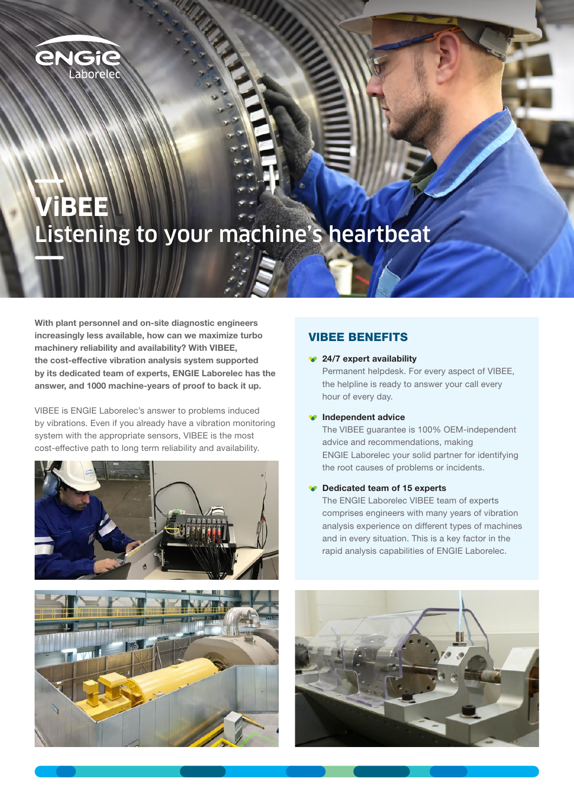

# **ViBEE** Listening to your machine's heartbeat

MARIN

With plant personnel and on-site diagnostic engineers increasingly less available, how can we maximize turbo machinery reliability and availability? With VIBEE, the cost-effective vibration analysis system supported by its dedicated team of experts, ENGIE Laborelec has the answer, and 1000 machine-years of proof to back it up.

VIBEE is ENGIE Laborelec's answer to problems induced by vibrations. Even if you already have a vibration monitoring system with the appropriate sensors, VIBEE is the most cost-effective path to long term reliability and availability.





### VIBEE BENEFITS

#### ◆ 24/7 expert availability

Permanent helpdesk. For every aspect of VIBEE, the helpline is ready to answer your call every hour of every day.

#### **Independent advice**

The VIBEE guarantee is 100% OEM-independent advice and recommendations, making ENGIE Laborelec your solid partner for identifying the root causes of problems or incidents.

#### **●** Dedicated team of 15 experts

The ENGIE Laborelec VIBEE team of experts comprises engineers with many years of vibration analysis experience on different types of machines and in every situation. This is a key factor in the rapid analysis capabilities of ENGIE Laborelec.